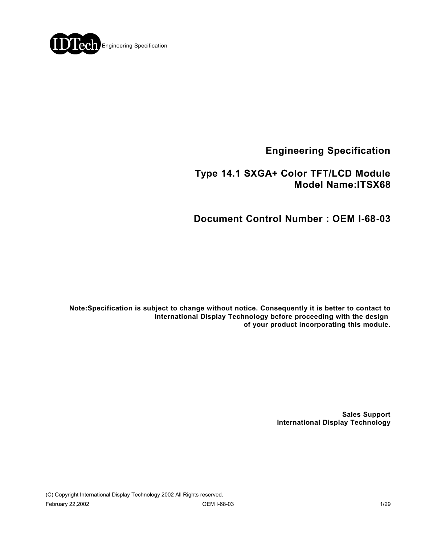

**Engineering Specification**

 **Type 14.1 SXGA+ Color TFT/LCD Module Model Name:ITSX68**

**Document Control Number : OEM I-68-03**

**Note:Specification is subject to change without notice. Consequently it is better to contact to International Display Technology before proceeding with the design of your product incorporating this module.**

> **Sales Support International Display Technology**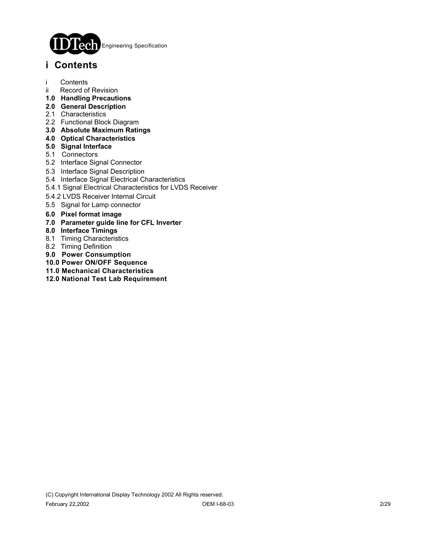

## **i Contents**

- i Contents
- ii Record of Revision
- **1.0 Handling Precautions**
- **2.0 General Description**
- 2.1 Characteristics
- 2.2 Functional Block Diagram
- **3.0 Absolute Maximum Ratings**
- **4.0 Optical Characteristics**
- **5.0 Signal Interface**
- 5.1 Connectors
- 5.2 Interface Signal Connector
- 5.3 Interface Signal Description
- 5.4 Interface Signal Electrical Characteristics
- 5.4.1 Signal Electrical Characteristics for LVDS Receiver
- 5.4.2 LVDS Receiver Internal Circuit
- 5.5 Signal for Lamp connector
- **6.0 Pixel format image**
- **7.0 Parameter guide line for CFL Inverter**
- **8.0 Interface Timings**
- 8.1 Timing Characteristics
- 8.2 Timing Definition
- **9.0 Power Consumption**
- **10.0 Power ON/OFF Sequence**
- **11.0 Mechanical Characteristics**
- **12.0 National Test Lab Requirement**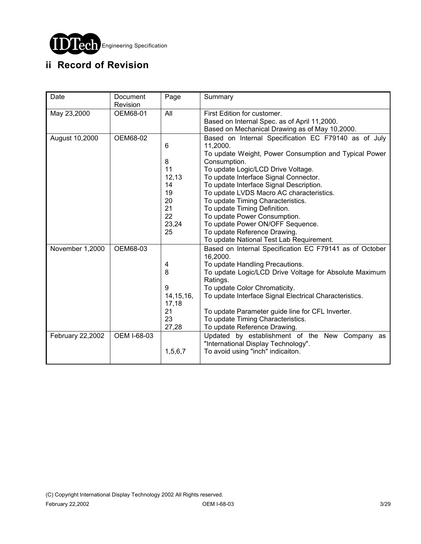

# **ii Record of Revision**

| Date             | Document<br>Revision | Page                                                               | Summary                                                                                                                                                                                                                                                                                                                                                                                                                                                                                                                                    |  |  |
|------------------|----------------------|--------------------------------------------------------------------|--------------------------------------------------------------------------------------------------------------------------------------------------------------------------------------------------------------------------------------------------------------------------------------------------------------------------------------------------------------------------------------------------------------------------------------------------------------------------------------------------------------------------------------------|--|--|
| May 23,2000      | OEM68-01             | All                                                                | First Edition for customer.<br>Based on Internal Spec. as of April 11,2000.                                                                                                                                                                                                                                                                                                                                                                                                                                                                |  |  |
| August 10,2000   | OEM68-02             | 6<br>8<br>11<br>12,13<br>14<br>19<br>20<br>21<br>22<br>23,24<br>25 | Based on Mechanical Drawing as of May 10,2000.<br>Based on Internal Specification EC F79140 as of July<br>11,2000.<br>To update Weight, Power Consumption and Typical Power<br>Consumption.<br>To update Logic/LCD Drive Voltage.<br>To update Interface Signal Connector.<br>To update Interface Signal Description.<br>To update LVDS Macro AC characteristics.<br>To update Timing Characteristics.<br>To update Timing Definition.<br>To update Power Consumption.<br>To update Power ON/OFF Sequence.<br>To update Reference Drawing. |  |  |
| November 1,2000  | OEM68-03             | 4<br>8<br>9<br>14, 15, 16,<br>17,18<br>21<br>23<br>27,28           | To update National Test Lab Requirement.<br>Based on Internal Specification EC F79141 as of October<br>16,2000.<br>To update Handling Precautions.<br>To update Logic/LCD Drive Voltage for Absolute Maximum<br>Ratings.<br>To update Color Chromaticity.<br>To update Interface Signal Electrical Characteristics.<br>To update Parameter guide line for CFL Inverter.<br>To update Timing Characteristics.<br>To update Reference Drawing.                                                                                               |  |  |
| February 22,2002 | OEM I-68-03          | 1,5,6,7                                                            | Updated by establishment of the New Company as<br>"International Display Technology".<br>To avoid using "inch" indicaiton.                                                                                                                                                                                                                                                                                                                                                                                                                 |  |  |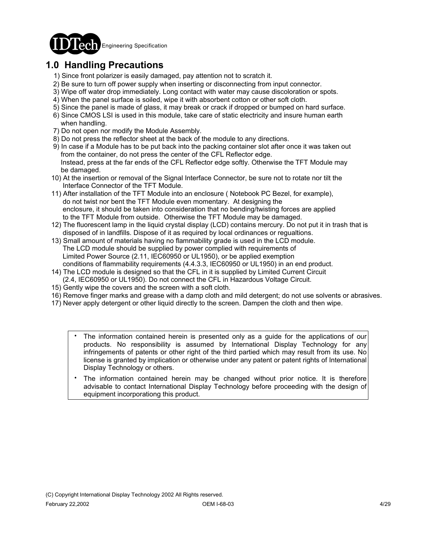

## **1.0 Handling Precautions**

- 1) Since front polarizer is easily damaged, pay attention not to scratch it.
- 2) Be sure to turn off power supply when inserting or disconnecting from input connector.
- 3) Wipe off water drop immediately. Long contact with water may cause discoloration or spots.
- 4) When the panel surface is soiled, wipe it with absorbent cotton or other soft cloth.
- 5) Since the panel is made of glass, it may break or crack if dropped or bumped on hard surface.
- 6) Since CMOS LSI is used in this module, take care of static electricity and insure human earth when handling.
- 7) Do not open nor modify the Module Assembly.
- 8) Do not press the reflector sheet at the back of the module to any directions.
- 9) In case if a Module has to be put back into the packing container slot after once it was taken out from the container, do not press the center of the CFL Reflector edge. Instead, press at the far ends of the CFL Reflector edge softly. Otherwise the TFT Module may be damaged.
- 10) At the insertion or removal of the Signal Interface Connector, be sure not to rotate nor tilt the Interface Connector of the TFT Module.
- 11) After installation of the TFT Module into an enclosure ( Notebook PC Bezel, for example), do not twist nor bent the TFT Module even momentary. At designing the enclosure, it should be taken into consideration that no bending/twisting forces are applied to the TFT Module from outside. Otherwise the TFT Module may be damaged.
- 12) The fluorescent lamp in the liquid crystal display (LCD) contains mercury. Do not put it in trash that is disposed of in landfills. Dispose of it as required by local ordinances or regualtions.
- 13) Small amount of materials having no flammability grade is used in the LCD module. The LCD module should be supplied by power complied with requirements of Limited Power Source (2.11, IEC60950 or UL1950), or be applied exemption conditions of flammability requirements (4.4.3.3, IEC60950 or UL1950) in an end product.
- 14) The LCD module is designed so that the CFL in it is supplied by Limited Current Circuit (2.4, IEC60950 or UL1950). Do not connect the CFL in Hazardous Voltage Circuit.
- 15) Gently wipe the covers and the screen with a soft cloth.
- 16) Remove finger marks and grease with a damp cloth and mild detergent; do not use solvents or abrasives.
- 17) Never apply detergent or other liquid directly to the screen. Dampen the cloth and then wipe.
	- The information contained herein is presented only as a guide for the applications of our products. No responsibility is assumed by International Display Technology for any infringements of patents or other right of the third partied which may result from its use. No license is granted by implication or otherwise under any patent or patent rights of International Display Technology or others. .
	- The information contained herein may be changed without prior notice. It is therefore advisable to contact International Display Technology before proceeding with the design of equipment incorporationg this product. .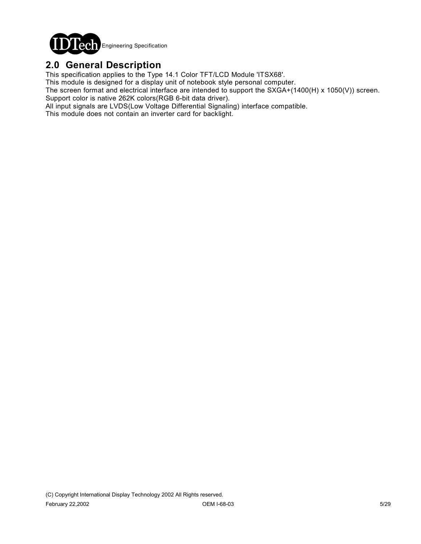

## **2.0 General Description**

This specification applies to the Type 14.1 Color TFT/LCD Module 'ITSX68'.

This module is designed for a display unit of notebook style personal computer.

The screen format and electrical interface are intended to support the SXGA+(1400(H) x 1050(V)) screen. Support color is native 262K colors(RGB 6-bit data driver).

All input signals are LVDS(Low Voltage Differential Signaling) interface compatible.

This module does not contain an inverter card for backlight.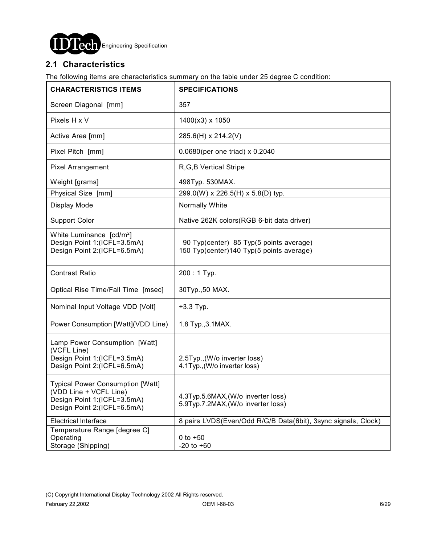

### **2.1 Characteristics**

The following items are characteristics summary on the table under 25 degree C condition:

| <b>CHARACTERISTICS ITEMS</b>                                                                                                    | <b>SPECIFICATIONS</b>                                                                |  |  |  |
|---------------------------------------------------------------------------------------------------------------------------------|--------------------------------------------------------------------------------------|--|--|--|
| Screen Diagonal [mm]                                                                                                            | 357                                                                                  |  |  |  |
| Pixels H x V                                                                                                                    | 1400(x3) x 1050                                                                      |  |  |  |
| Active Area [mm]                                                                                                                | 285.6(H) x 214.2(V)                                                                  |  |  |  |
| Pixel Pitch [mm]                                                                                                                | 0.0680(per one triad) x 0.2040                                                       |  |  |  |
| Pixel Arrangement                                                                                                               | R, G, B Vertical Stripe                                                              |  |  |  |
| Weight [grams]                                                                                                                  | 498Typ. 530MAX.                                                                      |  |  |  |
| Physical Size [mm]                                                                                                              | 299.0(W) x 226.5(H) x 5.8(D) typ.                                                    |  |  |  |
| Display Mode                                                                                                                    | Normally White                                                                       |  |  |  |
| <b>Support Color</b>                                                                                                            | Native 262K colors (RGB 6-bit data driver)                                           |  |  |  |
| White Luminance [cd/m <sup>2</sup> ]<br>Design Point 1:(ICFL=3.5mA)<br>Design Point 2:(ICFL=6.5mA)                              | 90 Typ(center) 85 Typ(5 points average)<br>150 Typ(center) 140 Typ(5 points average) |  |  |  |
| <b>Contrast Ratio</b>                                                                                                           | $200:1$ Typ.                                                                         |  |  |  |
| Optical Rise Time/Fall Time [msec]                                                                                              | 30Typ., 50 MAX.                                                                      |  |  |  |
| Nominal Input Voltage VDD [Volt]                                                                                                | $+3.3$ Typ.                                                                          |  |  |  |
| Power Consumption [Watt](VDD Line)                                                                                              | 1.8 Typ., 3.1 MAX.                                                                   |  |  |  |
| Lamp Power Consumption [Watt]<br>(VCFL Line)<br>Design Point 1:(ICFL=3.5mA)<br>Design Point 2:(ICFL=6.5mA)                      | 2.5Typ., (W/o inverter loss)<br>4.1Typ., (W/o inverter loss)                         |  |  |  |
| <b>Typical Power Consumption [Watt]</b><br>(VDD Line + VCFL Line)<br>Design Point 1:(ICFL=3.5mA)<br>Design Point 2:(ICFL=6.5mA) | 4.3Typ.5.6MAX, (W/o inverter loss)<br>5.9Typ.7.2MAX, (W/o inverter loss)             |  |  |  |
| <b>Electrical Interface</b>                                                                                                     | 8 pairs LVDS(Even/Odd R/G/B Data(6bit), 3sync signals, Clock)                        |  |  |  |
| Temperature Range [degree C]<br>Operating<br>Storage (Shipping)                                                                 | $0$ to $+50$<br>$-20$ to $+60$                                                       |  |  |  |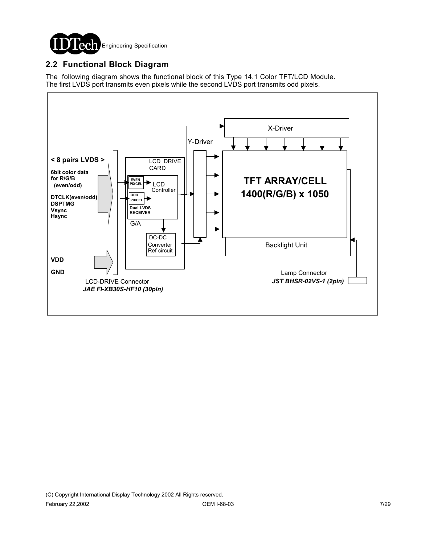

### **2.2 Functional Block Diagram**

The following diagram shows the functional block of this Type 14.1 Color TFT/LCD Module. The first LVDS port transmits even pixels while the second LVDS port transmits odd pixels.

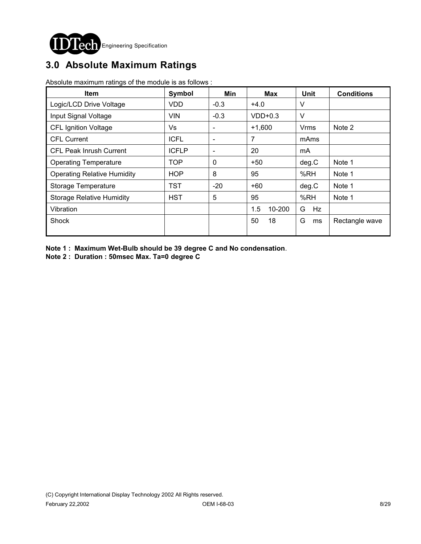

# **3.0 Absolute Maximum Ratings**

Absolute maximum ratings of the module is as follows :

| <b>Item</b>                        | Symbol       | Min                      | Max           | <b>Unit</b> | <b>Conditions</b> |
|------------------------------------|--------------|--------------------------|---------------|-------------|-------------------|
| Logic/LCD Drive Voltage            | <b>VDD</b>   | $-0.3$                   | $+4.0$        | v           |                   |
| Input Signal Voltage               | VIN          | $-0.3$                   | $VDD+0.3$     | $\vee$      |                   |
| <b>CFL Ignition Voltage</b>        | Vs           | $\overline{\phantom{a}}$ | $+1,600$      | Vrms        | Note 2            |
| <b>CFL Current</b>                 | <b>ICFL</b>  | $\overline{\phantom{a}}$ | 7             | mAms        |                   |
| <b>CFL Peak Inrush Current</b>     | <b>ICFLP</b> | $\overline{\phantom{a}}$ | 20            | mA          |                   |
| <b>Operating Temperature</b>       | <b>TOP</b>   | 0                        | $+50$         | deg.C       | Note 1            |
| <b>Operating Relative Humidity</b> | <b>HOP</b>   | 8                        | 95            | %RH         | Note 1            |
| Storage Temperature                | TST          | $-20$                    | $+60$         | deg.C       | Note 1            |
| <b>Storage Relative Humidity</b>   | <b>HST</b>   | 5                        | 95            | %RH         | Note 1            |
| Vibration                          |              |                          | 1.5<br>10-200 | G<br>Hz     |                   |
| Shock                              |              |                          | 50<br>18      | G<br>ms     | Rectangle wave    |

**Note 1 : Maximum Wet-Bulb should be 39 degree C and No condensation**.

**Note 2 : Duration : 50msec Max. Ta=0 degree C**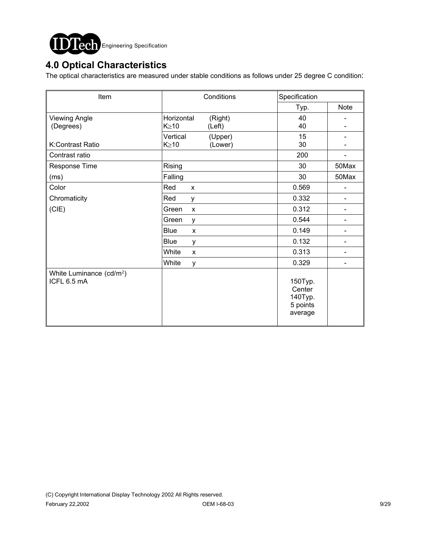

## **4.0 Optical Characteristics**

The optical characteristics are measured under stable conditions as follows under 25 degree C condition:

| Item                                                | Conditions                                     | Specification                                       |                              |  |
|-----------------------------------------------------|------------------------------------------------|-----------------------------------------------------|------------------------------|--|
|                                                     |                                                | Typ.                                                | Note                         |  |
| <b>Viewing Angle</b><br>(Degrees)                   | Horizontal<br>(Right)<br>$K \geq 10$<br>(Left) | 40<br>40                                            |                              |  |
| K:Contrast Ratio                                    | Vertical<br>(Upper)<br>$K \geq 10$<br>(Lower)  | 15<br>30                                            |                              |  |
| Contrast ratio                                      |                                                | 200                                                 |                              |  |
| Response Time                                       | Rising                                         | 30                                                  | 50Max                        |  |
| (ms)                                                | Falling                                        | 30                                                  | 50Max                        |  |
| Color                                               | Red<br>$\mathsf{x}$                            | 0.569                                               |                              |  |
| Chromaticity                                        | Red<br>y                                       | 0.332                                               | $\overline{\phantom{0}}$     |  |
| (CIE)                                               | Green<br>$\pmb{\times}$                        | 0.312                                               |                              |  |
|                                                     | Green<br>y                                     | 0.544                                               | $\qquad \qquad \blacksquare$ |  |
|                                                     | <b>Blue</b><br>$\mathsf{x}$                    | 0.149                                               | $\qquad \qquad \blacksquare$ |  |
|                                                     | <b>Blue</b><br>y                               | 0.132                                               |                              |  |
|                                                     | White<br>X                                     | 0.313                                               | $\overline{\phantom{0}}$     |  |
|                                                     | White<br>У                                     | 0.329                                               |                              |  |
| White Luminance (cd/m <sup>2</sup> )<br>ICFL 6.5 mA |                                                | 150Typ.<br>Center<br>140Typ.<br>5 points<br>average |                              |  |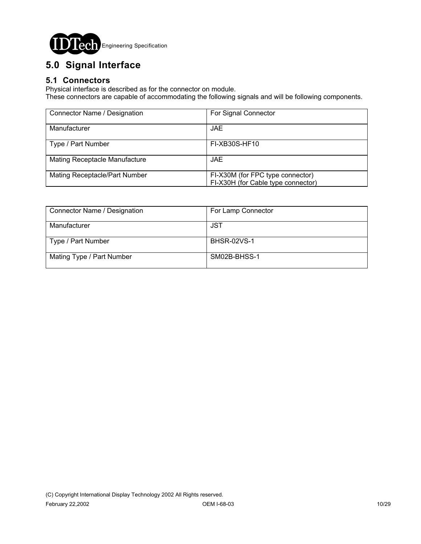

# **5.0 Signal Interface**

### **5.1 Connectors**

Physical interface is described as for the connector on module.

These connectors are capable of accommodating the following signals and will be following components.

| Connector Name / Designation         | For Signal Connector                                                   |
|--------------------------------------|------------------------------------------------------------------------|
| Manufacturer                         | JAE.                                                                   |
| Type / Part Number                   | FI-XB30S-HF10                                                          |
| <b>Mating Receptacle Manufacture</b> | JAE.                                                                   |
| Mating Receptacle/Part Number        | FI-X30M (for FPC type connector)<br>FI-X30H (for Cable type connector) |

| Connector Name / Designation | For Lamp Connector |
|------------------------------|--------------------|
| Manufacturer                 | JST                |
| Type / Part Number           | <b>BHSR-02VS-1</b> |
| Mating Type / Part Number    | SM02B-BHSS-1       |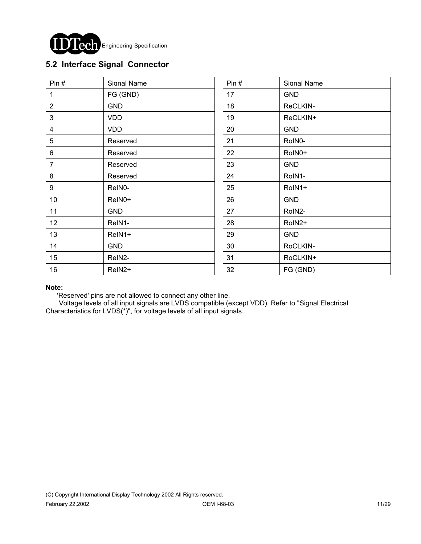

### **5.2 Interface Signal Connector**

| Pin $#$         | Signal Name        | Pin# | Signal Name |
|-----------------|--------------------|------|-------------|
| 1               | FG (GND)           | 17   | <b>GND</b>  |
| $\overline{2}$  | <b>GND</b>         | 18   | ReCLKIN-    |
| 3               | <b>VDD</b>         | 19   | ReCLKIN+    |
| 4               | <b>VDD</b>         | 20   | <b>GND</b>  |
| 5               | Reserved           | 21   | RoIN0-      |
| $6\phantom{1}6$ | Reserved           | 22   | RoIN0+      |
| $\overline{7}$  | Reserved           | 23   | <b>GND</b>  |
| 8               | Reserved           | 24   | RoIN1-      |
| 9               | ReIN0-             | 25   | RoIN1+      |
| 10              | ReIN0+             | 26   | <b>GND</b>  |
| 11              | <b>GND</b>         | 27   | RoIN2-      |
| 12              | ReIN1-             | 28   | RoIN2+      |
| 13              | ReIN1+             | 29   | <b>GND</b>  |
| 14              | <b>GND</b>         | 30   | RoCLKIN-    |
| 15              | ReIN2-             | 31   | RoCLKIN+    |
| 16              | ReIN <sub>2+</sub> | 32   | FG (GND)    |

#### **Note:**

'Reserved' pins are not allowed to connect any other line.

 Voltage levels of all input signals are LVDS compatible (except VDD). Refer to "Signal Electrical Characteristics for LVDS(\*)", for voltage levels of all input signals.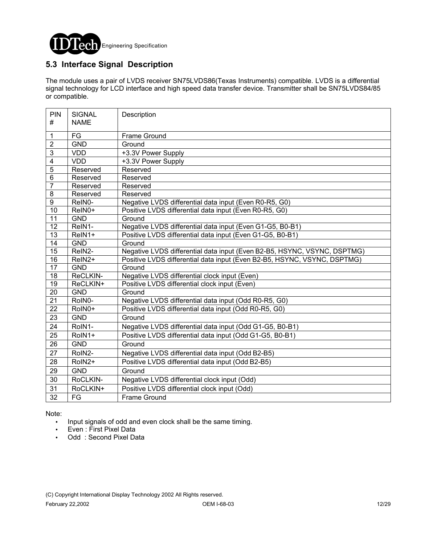

### **5.3 Interface Signal Description**

The module uses a pair of LVDS receiver SN75LVDS86(Texas Instruments) compatible. LVDS is a differential signal technology for LCD interface and high speed data transfer device. Transmitter shall be SN75LVDS84/85 or compatible.

| PIN<br>#                | <b>SIGNAL</b> | Description                                                              |
|-------------------------|---------------|--------------------------------------------------------------------------|
|                         | <b>NAME</b>   |                                                                          |
| 1                       | FG            | Frame Ground                                                             |
| $\overline{2}$          | <b>GND</b>    | Ground                                                                   |
| 3                       | <b>VDD</b>    | +3.3V Power Supply                                                       |
| $\overline{\mathbf{4}}$ | <b>VDD</b>    | +3.3V Power Supply                                                       |
| $\overline{5}$          | Reserved      | Reserved                                                                 |
| $\overline{6}$          | Reserved      | Reserved                                                                 |
| $\overline{7}$          | Reserved      | Reserved                                                                 |
| 8                       | Reserved      | Reserved                                                                 |
| $\overline{9}$          | ReIN0-        | Negative LVDS differential data input (Even R0-R5, G0)                   |
| 10                      | ReIN0+        | Positive LVDS differential data input (Even R0-R5, G0)                   |
| 11                      | <b>GND</b>    | Ground                                                                   |
| $\overline{12}$         | ReIN1-        | Negative LVDS differential data input (Even G1-G5, B0-B1)                |
| 13                      | ReIN1+        | Positive LVDS differential data input (Even G1-G5, B0-B1)                |
| 14                      | <b>GND</b>    | Ground                                                                   |
| 15                      | ReIN2-        | Negative LVDS differential data input (Even B2-B5, HSYNC, VSYNC, DSPTMG) |
| 16                      | ReIN2+        | Positive LVDS differential data input (Even B2-B5, HSYNC, VSYNC, DSPTMG) |
| $\overline{17}$         | <b>GND</b>    | Ground                                                                   |
| 18                      | ReCLKIN-      | Negative LVDS differential clock input (Even)                            |
| 19                      | ReCLKIN+      | Positive LVDS differential clock input (Even)                            |
| $\overline{20}$         | <b>GND</b>    | Ground                                                                   |
| 21                      | RoIN0-        | Negative LVDS differential data input (Odd R0-R5, G0)                    |
| $\overline{22}$         | RoIN0+        | Positive LVDS differential data input (Odd R0-R5, G0)                    |
| 23                      | <b>GND</b>    | Ground                                                                   |
| 24                      | RoIN1-        | Negative LVDS differential data input (Odd G1-G5, B0-B1)                 |
| 25                      | RoIN1+        | Positive LVDS differential data input (Odd G1-G5, B0-B1)                 |
| 26                      | <b>GND</b>    | Ground                                                                   |
| $\overline{27}$         | RoIN2-        | Negative LVDS differential data input (Odd B2-B5)                        |
| 28                      | RoIN2+        | Positive LVDS differential data input (Odd B2-B5)                        |
| 29                      | <b>GND</b>    | Ground                                                                   |
| 30                      | RoCLKIN-      | Negative LVDS differential clock input (Odd)                             |
| 31                      | RoCLKIN+      | Positive LVDS differential clock input (Odd)                             |
| 32                      | FG            | <b>Frame Ground</b>                                                      |

Note:

- ! Input signals of odd and even clock shall be the same timing.
- Even : First Pixel Data
- Odd: Second Pixel Data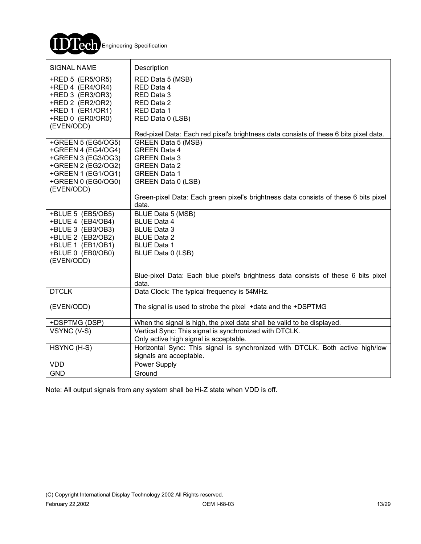

| SIGNAL NAME                                                                                                                                    | Description                                                                                                                                                                                                                          |
|------------------------------------------------------------------------------------------------------------------------------------------------|--------------------------------------------------------------------------------------------------------------------------------------------------------------------------------------------------------------------------------------|
| +RED 5 (ER5/OR5)<br>+RED 4 (ER4/OR4)<br>+RED 3 (ER3/OR3)<br>+RED 2 (ER2/OR2)<br>+RED 1 (ER1/OR1)<br>+RED 0 (ER0/OR0)<br>(EVEN/ODD)             | RED Data 5 (MSB)<br>RED Data 4<br>RED Data 3<br>RED Data 2<br>RED Data 1<br>RED Data 0 (LSB)                                                                                                                                         |
| +GREEN 5 (EG5/OG5)<br>+GREEN 4 (EG4/OG4)<br>+GREEN 3 (EG3/OG3)<br>+GREEN 2 (EG2/OG2)<br>+GREEN 1 (EG1/OG1)<br>+GREEN 0 (EG0/OG0)<br>(EVEN/ODD) | Red-pixel Data: Each red pixel's brightness data consists of these 6 bits pixel data.<br><b>GREEN Data 5 (MSB)</b><br><b>GREEN Data 4</b><br><b>GREEN Data 3</b><br><b>GREEN Data 2</b><br><b>GREEN Data 1</b><br>GREEN Data 0 (LSB) |
|                                                                                                                                                | Green-pixel Data: Each green pixel's brightness data consists of these 6 bits pixel<br>data.                                                                                                                                         |
| +BLUE 5 (EB5/OB5)<br>+BLUE 4 (EB4/OB4)<br>+BLUE 3 (EB3/OB3)<br>+BLUE 2 (EB2/OB2)<br>+BLUE 1 (EB1/OB1)<br>+BLUE 0 (EB0/OB0)<br>(EVEN/ODD)       | BLUE Data 5 (MSB)<br><b>BLUE Data 4</b><br><b>BLUE Data 3</b><br><b>BLUE Data 2</b><br><b>BLUE Data 1</b><br>BLUE Data 0 (LSB)                                                                                                       |
|                                                                                                                                                | Blue-pixel Data: Each blue pixel's brightness data consists of these 6 bits pixel<br>data.                                                                                                                                           |
| <b>DTCLK</b>                                                                                                                                   | Data Clock: The typical frequency is 54MHz.                                                                                                                                                                                          |
| (EVEN/ODD)                                                                                                                                     | The signal is used to strobe the pixel + data and the +DSPTMG                                                                                                                                                                        |
| +DSPTMG (DSP)                                                                                                                                  | When the signal is high, the pixel data shall be valid to be displayed.                                                                                                                                                              |
| VSYNC (V-S)                                                                                                                                    | Vertical Sync: This signal is synchronized with DTCLK.<br>Only active high signal is acceptable.                                                                                                                                     |
| HSYNC (H-S)                                                                                                                                    | Horizontal Sync: This signal is synchronized with DTCLK. Both active high/low<br>signals are acceptable.                                                                                                                             |
| <b>VDD</b>                                                                                                                                     | Power Supply                                                                                                                                                                                                                         |
| <b>GND</b>                                                                                                                                     | Ground                                                                                                                                                                                                                               |

Note: All output signals from any system shall be Hi-Z state when VDD is off.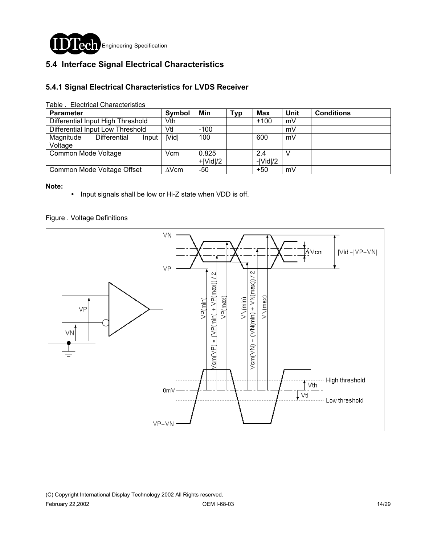

### **5.4 Interface Signal Electrical Characteristics**

#### **5.4.1 Signal Electrical Characteristics for LVDS Receiver**

| rapic .  Licculcar Oriaractoristics           |               |                     |            |                   |             |                   |
|-----------------------------------------------|---------------|---------------------|------------|-------------------|-------------|-------------------|
| <b>Parameter</b>                              | <b>Symbol</b> | Min                 | <b>Typ</b> | Max               | <b>Unit</b> | <b>Conditions</b> |
| Differential Input High Threshold             | Vth           |                     |            | $+100$            | mV          |                   |
| Differential Input Low Threshold              | Vtl           | $-100$              |            |                   | mV          |                   |
| Magnitude<br>Differential<br>Input<br>Voltage | <b>IVidl</b>  | 100                 |            | 600               | mV          |                   |
| Common Mode Voltage                           | Vcm           | 0.825<br>$+ Vid /2$ |            | 2.4<br>$- Vid /2$ |             |                   |
| Common Mode Voltage Offset                    | $\Delta$ Vcm  | -50                 |            | $+50$             | mV          |                   |

Table . Electrical Characteristics

#### **Note:**

! Input signals shall be low or Hi-Z state when VDD is off.

#### Figure . Voltage Definitions

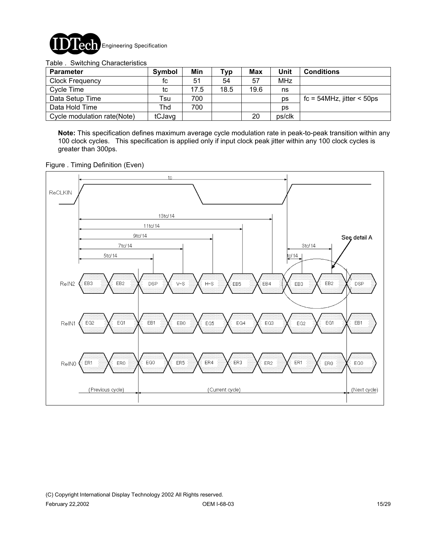

Table . Switching Characteristics

| <b>Parameter</b>            | Symbol | Min  | Typ  | Max  | Unit       | <b>Conditions</b>            |
|-----------------------------|--------|------|------|------|------------|------------------------------|
| <b>Clock Frequency</b>      | fc     | 51   | 54   | 57   | <b>MHz</b> |                              |
| Cycle Time                  | tc     | 17.5 | 18.5 | 19.6 | ns         |                              |
| Data Setup Time             | Tsu    | 700  |      |      | ps         | $fc = 54MHz$ , jitter < 50ps |
| Data Hold Time              | Thd    | 700  |      |      | ps         |                              |
| Cycle modulation rate(Note) | tCJavg |      |      | 20   | ps/clk     |                              |

**Note:** This specification defines maximum average cycle modulation rate in peak-to-peak transition within any 100 clock cycles. This specification is applied only if input clock peak jitter within any 100 clock cycles is greater than 300ps.

Figure . Timing Definition (Even)

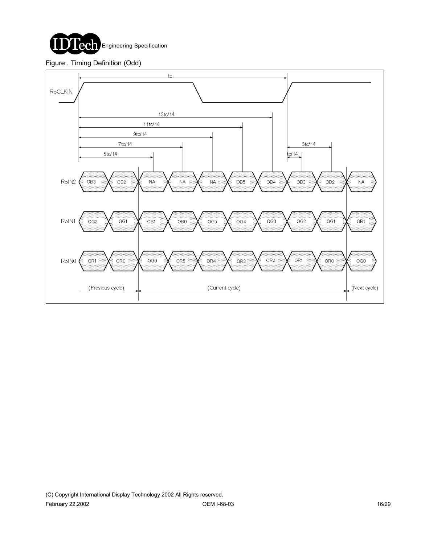

#### Figure . Timing Definition (Odd)

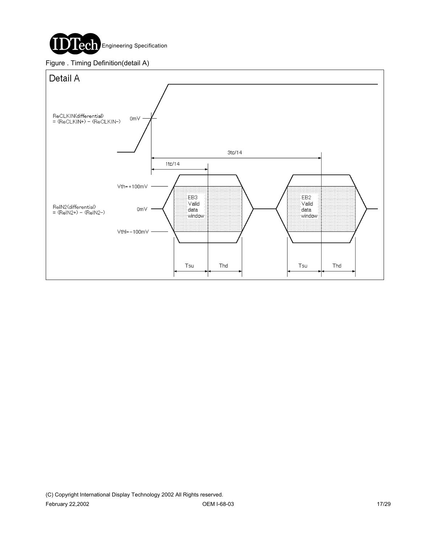

#### Figure . Timing Definition(detail A)

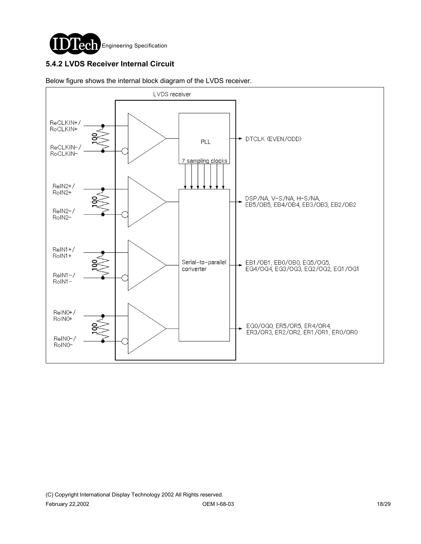

### **5.4.2 LVDS Receiver Internal Circuit**



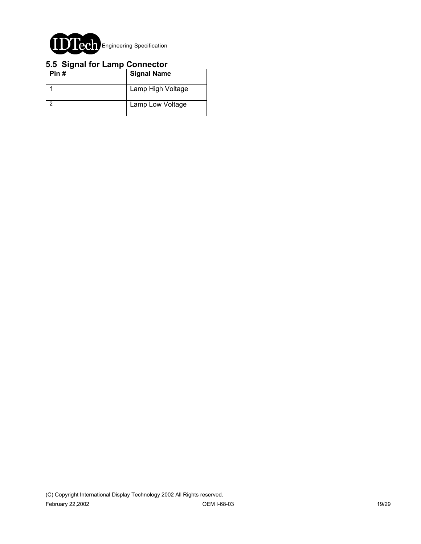

#### **5.5 Signal for Lamp Connector**

| Pin# | <b>Signal Name</b> |
|------|--------------------|
|      | Lamp High Voltage  |
|      | Lamp Low Voltage   |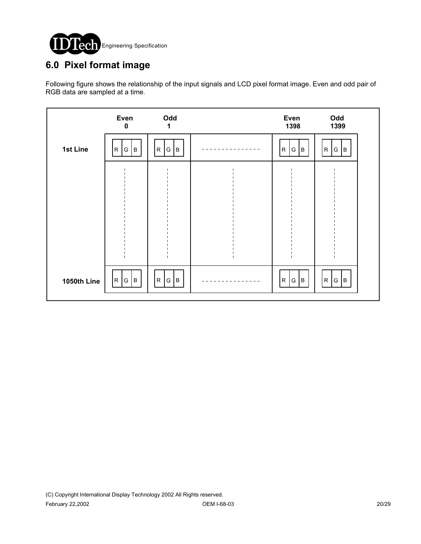

## **6.0 Pixel format image**

Following figure shows the relationship of the input signals and LCD pixel format image. Even and odd pair of RGB data are sampled at a time.

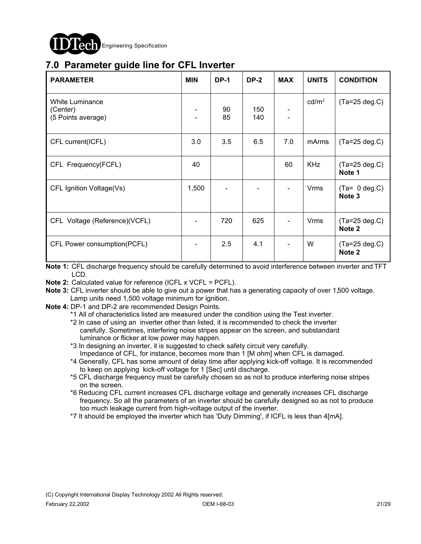

## **7.0 Parameter guide line for CFL Inverter**

| <b>PARAMETER</b>                                  | <b>MIN</b>               | <b>DP-1</b> | <b>DP-2</b> | <b>MAX</b> | <b>UNITS</b>      | <b>CONDITION</b>                     |
|---------------------------------------------------|--------------------------|-------------|-------------|------------|-------------------|--------------------------------------|
| White Luminance<br>(Center)<br>(5 Points average) | $\overline{\phantom{0}}$ | 90<br>85    | 150<br>140  |            | cd/m <sup>2</sup> | $(Ta=25 deg.C)$                      |
| CFL current(ICFL)                                 | 3.0                      | 3.5         | 6.5         | 7.0        | mArms             | $(Ta=25 deg.C)$                      |
| CFL Frequency(FCFL)                               | 40                       |             |             | 60         | <b>KHz</b>        | $(Ta=25 \text{ deg.C})$<br>Note 1    |
| CFL Ignition Voltage(Vs)                          | 1,500                    |             |             |            | <b>Vrms</b>       | $(Ta= 0 deg.C)$<br>Note <sub>3</sub> |
| CFL Voltage (Reference)(VCFL)                     |                          | 720         | 625         |            | <b>Vrms</b>       | $(Ta=25 deg.C)$<br>Note <sub>2</sub> |
| CFL Power consumption(PCFL)                       |                          | 2.5         | 4.1         |            | W                 | $(Ta=25 deg.C)$<br>Note <sub>2</sub> |

**Note 1:** CFL discharge frequency should be carefully determined to avoid interference between inverter and TFT LCD.

- **Note 2:** Calculated value for reference (ICFL x VCFL = PCFL).
- **Note 3:** CFL inverter should be able to give out a power that has a generating capacity of over 1,500 voltage. Lamp units need 1,500 voltage minimum for ignition.
- **Note 4:** DP-1 and DP-2 are recommended Design Points.
	- \*1 All of characteristics listed are measured under the condition using the Test inverter.
		- \*2 In case of using an inverter other than listed, it is recommended to check the inverter carefully. Sometimes, interfering noise stripes appear on the screen, and substandard luminance or flicker at low power may happen.
		- \*3 In designing an inverter, it is suggested to check safety circuit very carefully. Impedance of CFL, for instance, becomes more than 1 [M ohm] when CFL is damaged.
		- \*4 Generally, CFL has some amount of delay time after applying kick-off voltage. It is recommended to keep on applying kick-off voltage for 1 [Sec] until discharge.
		- \*5 CFL discharge frequency must be carefully chosen so as not to produce interfering noise stripes on the screen.
		- \*6 Reducing CFL current increases CFL discharge voltage and generally increases CFL discharge frequency. So all the parameters of an inverter should be carefully designed so as not to produce too much leakage current from high-voltage output of the inverter.
		- \*7 It should be employed the inverter which has 'Duty Dimming', if ICFL is less than 4[mA].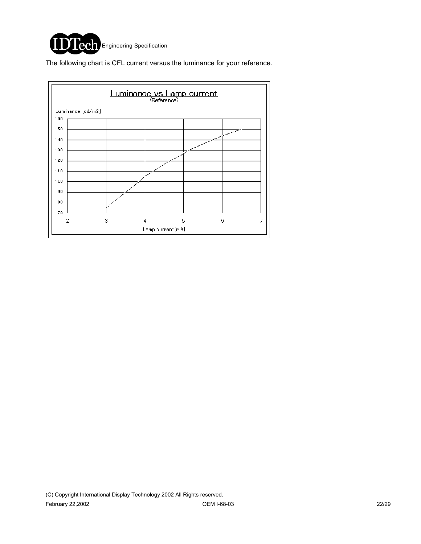

The following chart is CFL current versus the luminance for your reference.

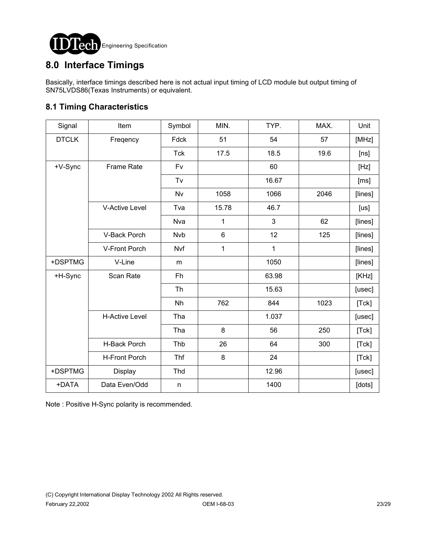

## **8.0 Interface Timings**

Basically, interface timings described here is not actual input timing of LCD module but output timing of SN75LVDS86(Texas Instruments) or equivalent.

### **8.1 Timing Characteristics**

| Signal       | Item                  | Symbol     | MIN.  | TYP.  | MAX. | Unit    |
|--------------|-----------------------|------------|-------|-------|------|---------|
| <b>DTCLK</b> | Freqency              | Fdck       | 51    | 54    | 57   | [MHz]   |
|              |                       | <b>Tck</b> | 17.5  | 18.5  | 19.6 | [ns]    |
| +V-Sync      | <b>Frame Rate</b>     | Fv         |       | 60    |      | [Hz]    |
|              |                       | Tv         |       | 16.67 |      | [ms]    |
|              |                       | <b>Nv</b>  | 1058  | 1066  | 2046 | [lines] |
|              | <b>V-Active Level</b> | Tva        | 15.78 | 46.7  |      | [us]    |
|              |                       | Nva        | 1     | 3     | 62   | [lines] |
|              | V-Back Porch          | <b>Nvb</b> | 6     | 12    | 125  | [lines] |
|              | V-Front Porch         | Nvf        | 1     | 1     |      | [lines] |
| +DSPTMG      | V-Line                | m          |       | 1050  |      | [lines] |
| +H-Sync      | Scan Rate             | Fh         |       | 63.98 |      | [KHz]   |
|              |                       | <b>Th</b>  |       | 15.63 |      | [usec]  |
|              |                       | Nh         | 762   | 844   | 1023 | [Tck]   |
|              | <b>H-Active Level</b> | Tha        |       | 1.037 |      | [usec]  |
|              |                       | Tha        | 8     | 56    | 250  | [Tck]   |
|              | H-Back Porch          | Thb        | 26    | 64    | 300  | [Tck]   |
|              | <b>H-Front Porch</b>  | Thf        | 8     | 24    |      | [Tck]   |
| +DSPTMG      | Display               | Thd        |       | 12.96 |      | [usec]  |
| +DATA        | Data Even/Odd         | n          |       | 1400  |      | [dots]  |

Note : Positive H-Sync polarity is recommended.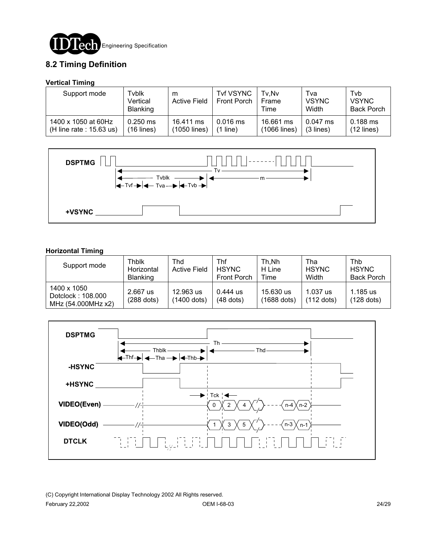

### **8.2 Timing Definition**

#### **Vertical Timing**

| Support mode               | Tyblk<br>Vertical<br><b>Blanking</b> | m<br><b>Active Field</b> | <b>Tvf VSYNC</b><br><b>Front Porch</b> | Tv.Nv<br>Frame<br>Time | Tva<br><b>VSYNC</b><br>Width | Tvb<br><b>VSYNC</b><br><b>Back Porch</b> |
|----------------------------|--------------------------------------|--------------------------|----------------------------------------|------------------------|------------------------------|------------------------------------------|
| 1400 x 1050 at 60Hz        | $0.250$ ms                           | 16.411 ms                | $0.016$ ms                             | 16.661 ms              | $0.047$ ms                   | $0.188$ ms                               |
| (H line rate : $15.63$ us) | $(16$ lines)                         | (1050 lines)             | line)                                  | (1066 lines)           | $(3$ lines)                  | $(12$ lines)                             |



#### **Horizontal Timing**

| Support mode                                           | Thblk<br>Horizontal<br><b>Blanking</b> | Thd<br><b>Active Field</b> | Thf<br><b>HSYNC</b><br><b>Front Porch</b> | Th.Nh<br>H Line<br>Time    | Tha<br><b>HSYNC</b><br>Width | Thb<br><b>HSYNC</b><br><b>Back Porch</b> |
|--------------------------------------------------------|----------------------------------------|----------------------------|-------------------------------------------|----------------------------|------------------------------|------------------------------------------|
| 1400 x 1050<br>Dotclock: 108.000<br>MHz (54.000MHz x2) | 2.667 us<br>$(288$ dots)               | 12.963 us<br>(1400 dots)   | $0.444$ us<br>$(48$ dots)                 | 15.630 us<br>$(1688$ dots) | 1.037 us<br>$(112$ dots)     | 1.185 us<br>$(128$ dots)                 |



(C) Copyright International Display Technology 2002 All Rights reserved. February 22,2002 OEM I-68-03 24/29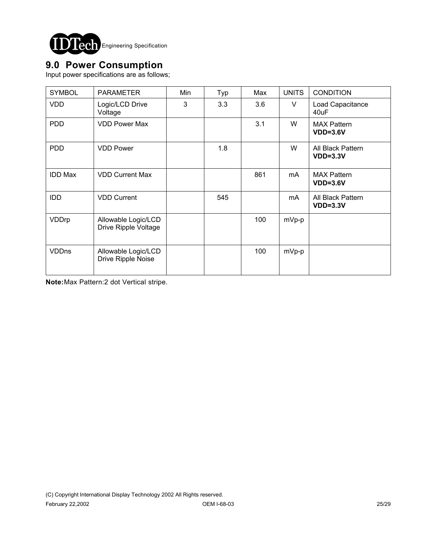

## **9.0 Power Consumption**

Input power specifications are as follows;

| <b>SYMBOL</b>  | <b>PARAMETER</b>                            | Min | Typ | Max | <b>UNITS</b> | <b>CONDITION</b>                 |
|----------------|---------------------------------------------|-----|-----|-----|--------------|----------------------------------|
| <b>VDD</b>     | Logic/LCD Drive<br>Voltage                  | 3   | 3.3 | 3.6 | V            | Load Capacitance<br>40uF         |
| <b>PDD</b>     | <b>VDD Power Max</b>                        |     |     | 3.1 | W            | <b>MAX Pattern</b><br>$VDD=3.6V$ |
| <b>PDD</b>     | <b>VDD Power</b>                            |     | 1.8 |     | W            | All Black Pattern<br>$VDD=3.3V$  |
| <b>IDD Max</b> | <b>VDD Current Max</b>                      |     |     | 861 | mA           | <b>MAX Pattern</b><br>$VDD=3.6V$ |
| <b>IDD</b>     | <b>VDD Current</b>                          |     | 545 |     | mA           | All Black Pattern<br>$VDD=3.3V$  |
| VDDrp          | Allowable Logic/LCD<br>Drive Ripple Voltage |     |     | 100 | mVp-p        |                                  |
| <b>VDDns</b>   | Allowable Logic/LCD<br>Drive Ripple Noise   |     |     | 100 | mVp-p        |                                  |

**Note:**Max Pattern:2 dot Vertical stripe.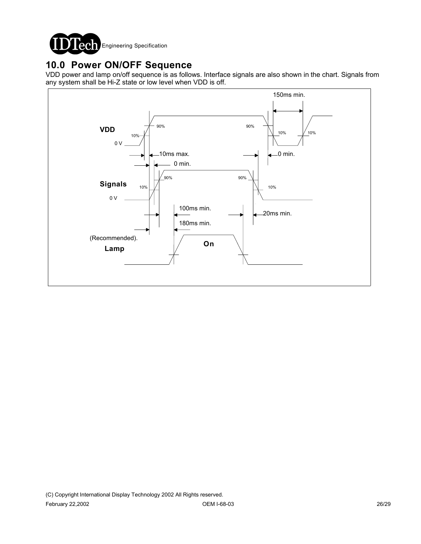

# **10.0 Power ON/OFF Sequence**

VDD power and lamp on/off sequence is as follows. Interface signals are also shown in the chart. Signals from any system shall be Hi-Z state or low level when VDD is off.

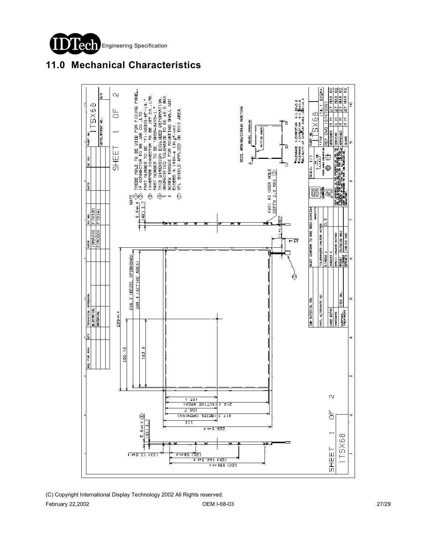



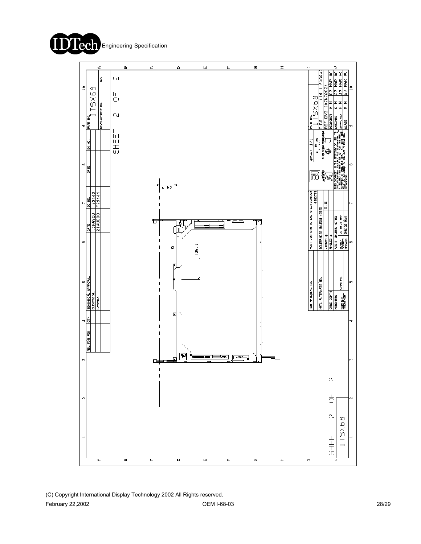



(C) Copyright International Display Technology 2002 All Rights reserved. February 22,2002 OEM I-68-03 28/29